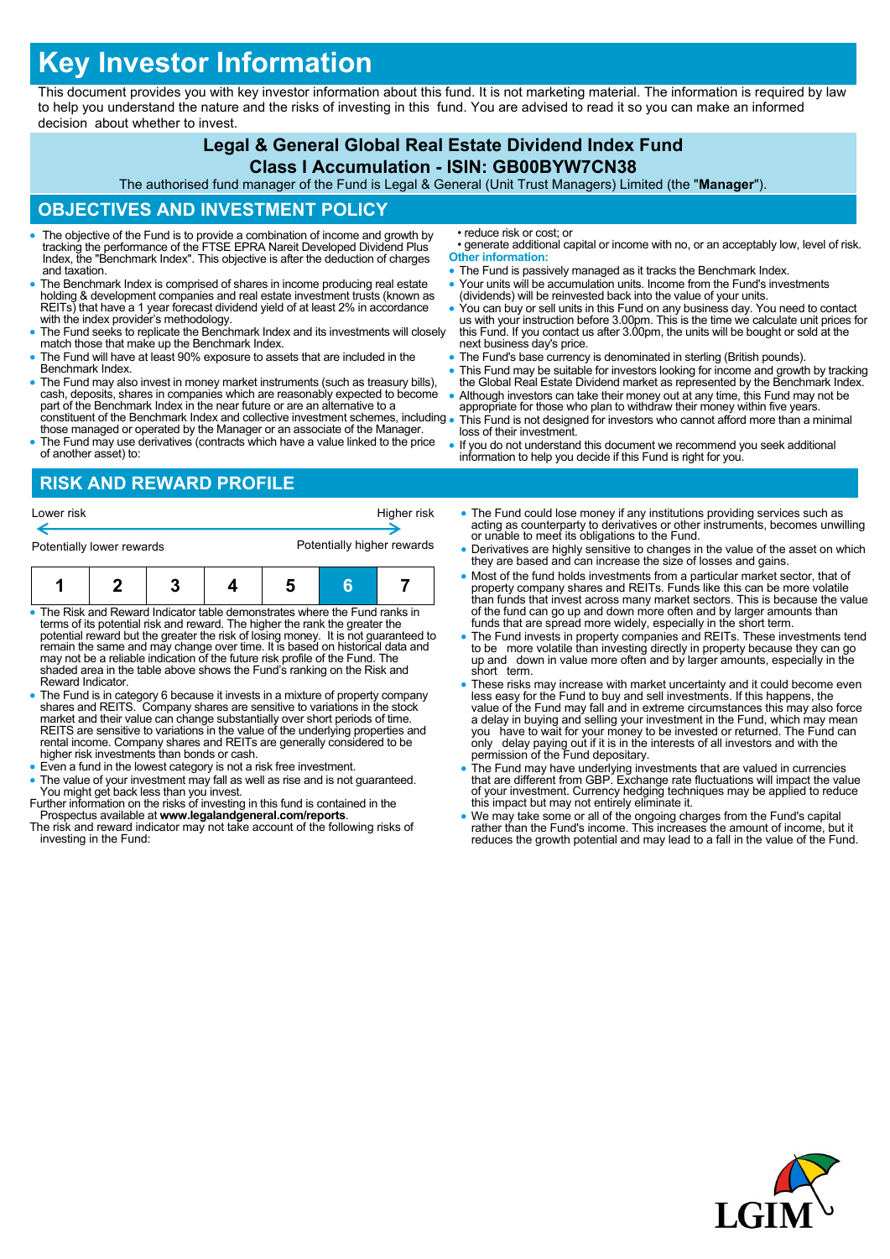# **Key Investor Information**

This document provides you with key investor information about this fund. It is not marketing material. The information is required by law to help you understand the nature and the risks of investing in this fund. You are advised to read it so you can make an informed decision about whether to invest.

## **Legal & General Global Real Estate Dividend Index Fund**

#### **Class I Accumulation - ISIN: GB00BYW7CN38**

The authorised fund manager of the Fund is Legal & General (Unit Trust Managers) Limited (the "**Manager**").

#### **OBJECTIVES AND INVESTMENT POLICY**

- The objective of the Fund is to provide a combination of income and growth by tracking the performance of the FTSE EPRA Nareit Developed Dividend Plus Index, the "Benchmark Index". This objective is after the deduction of charges and taxation.
- The Benchmark Index is comprised of shares in income producing real estate holding & development companies and real estate investment trusts (known as REITs) that have a 1 year forecast dividend yield of at least 2% in accordance with the index provider's methodology.
- The Fund seeks to replicate the Benchmark Index and its investments will closely match those that make up the Benchmark Index.
- The Fund will have at least 90% exposure to assets that are included in the Benchmark Index.
- The Fund may also invest in money market instruments (such as treasury bills), cash, deposits, shares in companies which are reasonably expected to become part of the Benchmark Index in the near future or are an alternative to a constituent of the Benchmark Index and collective investment schemes, including
- those managed or operated by the Manager or an associate of the Manager. The Fund may use derivatives (contracts which have a value linked to the price of another asset) to:

### **RISK AND REWARD PROFILE**

Lower risk **Higher risk** Higher risk **Higher risk** €

| Potentially lower rewards |  |  |  |  | Potentially higher rewards |  |
|---------------------------|--|--|--|--|----------------------------|--|
|                           |  |  |  |  |                            |  |

| n The Fitch and Fitch and halfs started by decomposition of the Condition of the Constanting for |  |  |  |  |  |  |
|--------------------------------------------------------------------------------------------------|--|--|--|--|--|--|

- **The Risk and Reward Indicator table demonstrates where the Fund ranks in** terms of its potential risk and reward. The higher the rank the greater the potential reward but the greater the risk of losing money. It is not guaranteed to<br>remain the same and may change over time. It is based on historical data and<br>may not be a reliable indication of the future risk profile of shaded area in the table above shows the Fund's ranking on the Risk and Reward Indicator.
- The Fund is in category 6 because it invests in a mixture of property company shares and REITS. Company shares are sensitive to variations in the stock<br>market and their value can change substantially over short periods of time.<br>REITS are sensitive to variations in the value of the underlying propert rental income. Company shares and REITs are generally considered to be higher risk investments than bonds or cash.
- Even a fund in the lowest category is not a risk free investment.
- The value of your investment may fall as well as rise and is not guaranteed. You might get back less than you invest.
- Further information on the risks of investing in this fund is contained in the Prospectus available at **www.legalandgeneral.com/reports**. The risk and reward indicator may not take account of the following risks of
- investing in the Fund:
- reduce risk or cost; or
- generate additional capital or income with no, or an acceptably low, level of risk. **Other information:**
- The Fund is passively managed as it tracks the Benchmark Index.
- Your units will be accumulation units. Income from the Fund's investments (dividends) will be reinvested back into the value of your units.
- You can buy or sell units in this Fund on any business day. You need to contact us with your instruction before 3.00pm. This is the time we calculate unit prices for this Fund. If you contact us after 3.00pm, the units will be bought or sold at the next business day's price.
- The Fund's base currency is denominated in sterling (British pounds).
- This Fund may be suitable for investors looking for income and growth by tracking the Global Real Estate Dividend market as represented by the Benchmark Index. Although investors can take their money out at any time, this Fund may not be
- appropriate for those who plan to withdraw their money within five years. This Fund is not designed for investors who cannot afford more than a minimal loss of their investment.
- If you do not understand this document we recommend you seek additional information to help you decide if this Fund is right for you.
- The Fund could lose money if any institutions providing services such as acting as counterparty to derivatives or other instruments, becomes unwilling or unable to meet its obligations to the Fund.
- Derivatives are highly sensitive to changes in the value of the asset on which they are based and can increase the size of losses and gains.
- Most of the fund holds investments from a particular market sector, that of property company shares and REITs. Funds like this can be more volatile than funds that invest across many market sectors. This is because the value of the fund can go up and down more often and by larger amounts than funds that are spread more widely, especially in the short term.
- The Fund invests in property companies and REITs. These investments tend to be more volatile than investing directly in property because they can go up and down in value more often and by larger amounts, especially in the short term.
- These risks may increase with market uncertainty and it could become even less easy for the Fund to buy and sell investments. If this happens, the value of the Fund may fall and in extreme circumstances this may also force a delay in buying and selling your investment in the Fund, which may mean<br>you have to wait for your money to be invested or returned. The Fund can<br>only delay paying out if it is in the interests of all investors and wi
- The Fund may have underlying investments that are valued in currencies that are different from GBP. Exchange rate fluctuations will impact the value of your investment. Currency hedging techniques may be applied to reduce this impact but may not entirely eliminate it.
- We may take some or all of the ongoing charges from the Fund's capital rather than the Fund's income. This increases the amount of income, but it reduces the growth potential and may lead to a fall in the value of the Fund.